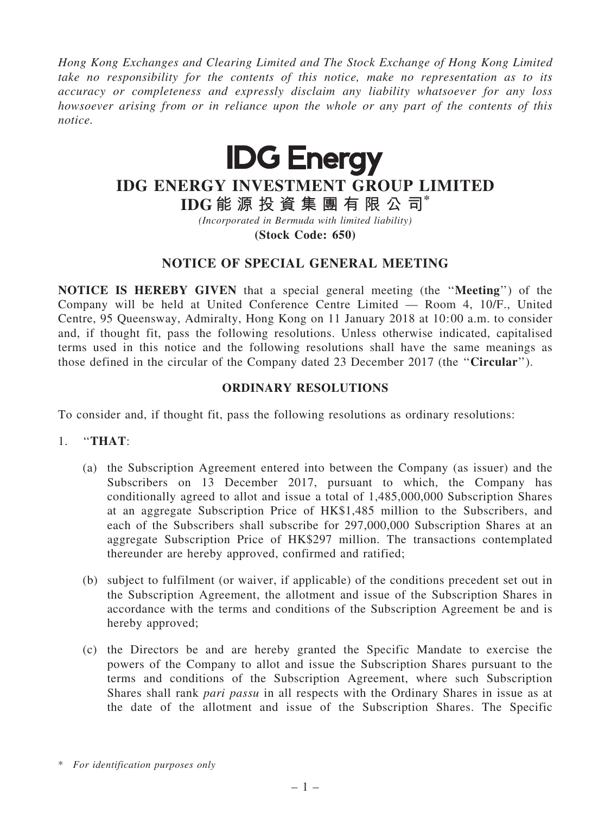*Hong Kong Exchanges and Clearing Limited and The Stock Exchange of Hong Kong Limited take no responsibility for the contents of this notice, make no representation as to its accuracy or completeness and expressly disclaim any liability whatsoever for any loss howsoever arising from or in reliance upon the whole or any part of the contents of this notice.*



# IDG ENERGY INVESTMENT GROUP LIMITED

IDG 能 源 投 資 集 團 有 限 公 司\*

*(Incorporated in Bermuda with limited liability)*

(Stock Code: 650)

## NOTICE OF SPECIAL GENERAL MEETING

NOTICE IS HEREBY GIVEN that a special general meeting (the ''Meeting'') of the Company will be held at United Conference Centre Limited — Room 4, 10/F., United Centre, 95 Queensway, Admiralty, Hong Kong on 11 January 2018 at 10:00 a.m. to consider and, if thought fit, pass the following resolutions. Unless otherwise indicated, capitalised terms used in this notice and the following resolutions shall have the same meanings as those defined in the circular of the Company dated 23 December 2017 (the ''Circular'').

#### ORDINARY RESOLUTIONS

To consider and, if thought fit, pass the following resolutions as ordinary resolutions:

## 1. ''THAT:

- (a) the Subscription Agreement entered into between the Company (as issuer) and the Subscribers on 13 December 2017, pursuant to which, the Company has conditionally agreed to allot and issue a total of 1,485,000,000 Subscription Shares at an aggregate Subscription Price of HK\$1,485 million to the Subscribers, and each of the Subscribers shall subscribe for 297,000,000 Subscription Shares at an aggregate Subscription Price of HK\$297 million. The transactions contemplated thereunder are hereby approved, confirmed and ratified;
- (b) subject to fulfilment (or waiver, if applicable) of the conditions precedent set out in the Subscription Agreement, the allotment and issue of the Subscription Shares in accordance with the terms and conditions of the Subscription Agreement be and is hereby approved;
- (c) the Directors be and are hereby granted the Specific Mandate to exercise the powers of the Company to allot and issue the Subscription Shares pursuant to the terms and conditions of the Subscription Agreement, where such Subscription Shares shall rank *pari passu* in all respects with the Ordinary Shares in issue as at the date of the allotment and issue of the Subscription Shares. The Specific

<sup>\*</sup> *For identification purposes only*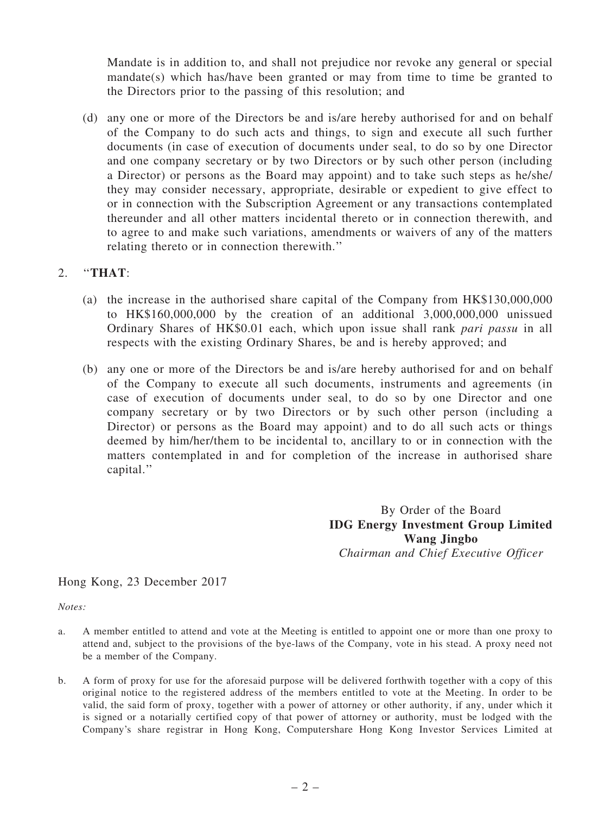Mandate is in addition to, and shall not prejudice nor revoke any general or special mandate(s) which has/have been granted or may from time to time be granted to the Directors prior to the passing of this resolution; and

(d) any one or more of the Directors be and is/are hereby authorised for and on behalf of the Company to do such acts and things, to sign and execute all such further documents (in case of execution of documents under seal, to do so by one Director and one company secretary or by two Directors or by such other person (including a Director) or persons as the Board may appoint) and to take such steps as he/she/ they may consider necessary, appropriate, desirable or expedient to give effect to or in connection with the Subscription Agreement or any transactions contemplated thereunder and all other matters incidental thereto or in connection therewith, and to agree to and make such variations, amendments or waivers of any of the matters relating thereto or in connection therewith.''

### 2. ''THAT:

- (a) the increase in the authorised share capital of the Company from HK\$130,000,000 to HK\$160,000,000 by the creation of an additional 3,000,000,000 unissued Ordinary Shares of HK\$0.01 each, which upon issue shall rank *pari passu* in all respects with the existing Ordinary Shares, be and is hereby approved; and
- (b) any one or more of the Directors be and is/are hereby authorised for and on behalf of the Company to execute all such documents, instruments and agreements (in case of execution of documents under seal, to do so by one Director and one company secretary or by two Directors or by such other person (including a Director) or persons as the Board may appoint) and to do all such acts or things deemed by him/her/them to be incidental to, ancillary to or in connection with the matters contemplated in and for completion of the increase in authorised share capital.''

By Order of the Board IDG Energy Investment Group Limited Wang Jingbo *Chairman and Chief Executive Officer*

Hong Kong, 23 December 2017

*Notes:*

- a. A member entitled to attend and vote at the Meeting is entitled to appoint one or more than one proxy to attend and, subject to the provisions of the bye-laws of the Company, vote in his stead. A proxy need not be a member of the Company.
- b. A form of proxy for use for the aforesaid purpose will be delivered forthwith together with a copy of this original notice to the registered address of the members entitled to vote at the Meeting. In order to be valid, the said form of proxy, together with a power of attorney or other authority, if any, under which it is signed or a notarially certified copy of that power of attorney or authority, must be lodged with the Company's share registrar in Hong Kong, Computershare Hong Kong Investor Services Limited at